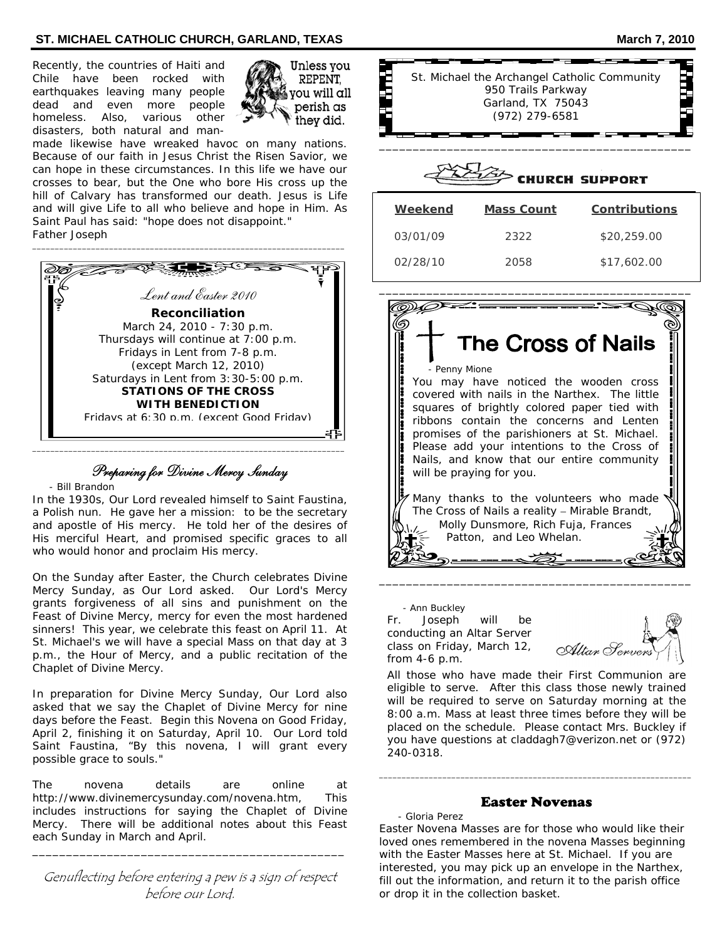## **ST. MICHAEL CATHOLIC CHURCH, GARLAND, TEXAS MARY RESOURDED A CONSTRUSS MARY PROOF MARY 2010**

Recently, the countries of Haiti and Chile have been rocked with earthquakes leaving many people dead and even more people homeless. Also, various other disasters, both natural and man-



i

made likewise have wreaked havoc on many nations. Because of our faith in Jesus Christ the Risen Savior, we can hope in these circumstances. In this life we have our crosses to bear, but the One who bore His cross up the hill of Calvary has transformed our death. Jesus is Life and will give Life to all who believe and hope in Him. As Saint Paul has said: "hope does not disappoint." *Father Joseph* 



Preparing for Divine Mercy Sunday

 *- Bill Brandon* 

In the 1930s, Our Lord revealed himself to Saint Faustina, a Polish nun. He gave her a mission: to be the secretary and apostle of His mercy. He told her of the desires of His merciful Heart, and promised specific graces to all who would honor and proclaim His mercy.

On the Sunday after Easter, the Church celebrates Divine Mercy Sunday, as Our Lord asked. Our Lord's Mercy grants forgiveness of all sins and punishment on the Feast of Divine Mercy, mercy for even the most hardened sinners! This year, we celebrate this feast on April 11. At St. Michael's we will have a special Mass on that day at 3 p.m., the Hour of Mercy, and a public recitation of the Chaplet of Divine Mercy.

In preparation for Divine Mercy Sunday, Our Lord also asked that we say the Chaplet of Divine Mercy for nine days before the Feast. Begin this Novena on Good Friday, April 2, finishing it on Saturday, April 10. Our Lord told Saint Faustina, "By this novena, I will grant every possible grace to souls."

The novena details are online at http://www.divinemercysunday.com/novena.htm, This includes instructions for saying the Chaplet of Divine Mercy. There will be additional notes about this Feast each Sunday in March and April.

Genuflecting before entering a pew is a sign of respect before our Lord.

\_\_\_\_\_\_\_\_\_\_\_\_\_\_\_\_\_\_\_\_\_\_\_\_\_\_\_\_\_\_\_\_\_\_\_\_\_\_\_\_\_\_\_\_\_\_

| St. Michael the Archangel Catholic Community<br>950 Trails Parkway<br>Garland, TX 75043 |  |
|-----------------------------------------------------------------------------------------|--|
| (972) 279-6581                                                                          |  |



02/28/10 2058 \$17,602.00



 *- Ann Buckley*  Fr. Joseph will be conducting an Altar Server class on Friday, March 12, from 4-6 p.m.

Altax Serve

All those who have made their First Communion are eligible to serve. After this class those newly trained will be required to serve on Saturday morning at the 8:00 a.m. Mass at least three times before they will be placed on the schedule. Please contact Mrs. Buckley if you have questions at claddagh7@verizon.net or (972) 240-0318.

# Easter Novenas

\_\_\_\_\_\_\_\_\_\_\_\_\_\_\_\_\_\_\_\_\_\_\_\_\_\_\_\_\_\_\_\_\_\_\_\_\_\_\_\_\_\_\_\_\_\_\_\_\_\_\_\_\_\_\_\_\_\_\_\_\_\_\_\_\_\_\_\_\_

*- Gloria Perez*  Easter Novena Masses are for those who would like their loved ones remembered in the novena Masses beginning with the Easter Masses here at St. Michael. If you are interested, you may pick up an envelope in the Narthex, fill out the information, and return it to the parish office or drop it in the collection basket.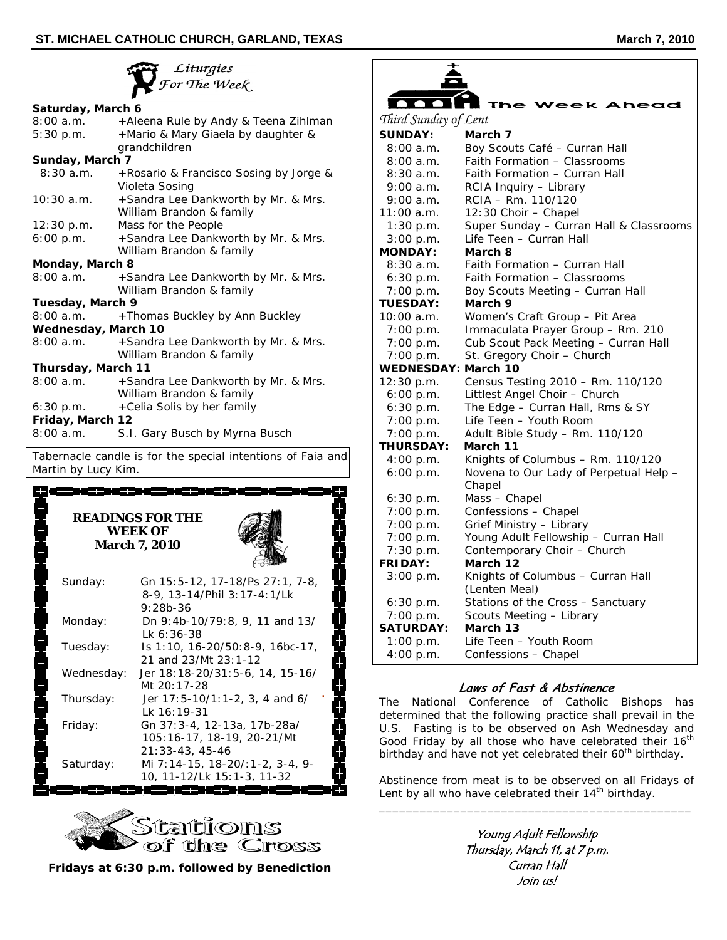

## **Saturday, March 6**

| 8:00 a.m.           | +Aleena Rule by Andy & Teena Zihlman                        |
|---------------------|-------------------------------------------------------------|
| 5:30 p.m.           | +Mario & Mary Giaela by daughter &                          |
|                     | grandchildren                                               |
| Sunday, March 7     |                                                             |
| 8:30a.m.            | + Rosario & Francisco Sosing by Jorge &                     |
|                     | Violeta Sosing                                              |
| $10:30$ a.m.        | +Sandra Lee Dankworth by Mr. & Mrs.                         |
|                     | William Brandon & family                                    |
| 12:30 p.m.          | Mass for the People                                         |
| 6:00 p.m.           | +Sandra Lee Dankworth by Mr. & Mrs.                         |
|                     | William Brandon & family                                    |
| Monday, March 8     |                                                             |
|                     | 8:00 a.m. + Sandra Lee Dankworth by Mr. & Mrs.              |
|                     | William Brandon & family                                    |
| Tuesday, March 9    |                                                             |
| 8:00 a.m.           | +Thomas Buckley by Ann Buckley                              |
| Wednesday, March 10 |                                                             |
|                     | 8:00 a.m. + Sandra Lee Dankworth by Mr. & Mrs.              |
|                     | William Brandon & family                                    |
| Thursday, March 11  |                                                             |
|                     | 8:00 a.m. + Sandra Lee Dankworth by Mr. & Mrs.              |
|                     | William Brandon & family                                    |
| 6:30 p.m.           | +Celia Solis by her family                                  |
| Friday, March 12    |                                                             |
|                     | 8:00 a.m. S.I. Gary Busch by Myrna Busch                    |
|                     | Tabernacle candle is for the special intentions of Faia are |

Tabernacle candle is for the special intentions of Faia and Martin by Lucy Kim.

|            | <b>READINGS FOR THE</b><br><b>WEEK OF</b><br><b>March 7, 2010</b>              |
|------------|--------------------------------------------------------------------------------|
| Sunday:    | Gn 15:5-12, 17-18/Ps 27:1, 7-8,<br>8-9, 13-14/Phil 3: 17-4: 1/Lk<br>$9:28b-36$ |
| Monday:    | Dn 9:4b-10/79:8, 9, 11 and 13/<br>Lk 6:36-38                                   |
| Tuesday:   | Is 1:10, 16-20/50:8-9, 16bc-17,<br>21 and 23/Mt 23:1-12                        |
| Wednesday: | Jer 18:18-20/31:5-6, 14, 15-16/<br>Mt 20:17-28                                 |
| Thursday:  | Jer 17:5-10/1:1-2, 3, 4 and 6/<br>Lk 16:19-31                                  |
| Friday:    | Gn 37:3-4, 12-13a, 17b-28a/<br>105:16-17, 18-19, 20-21/Mt<br>21:33-43, 45-46   |
| Saturday:  | Mi 7:14-15, 18-20/:1-2, 3-4, 9-<br>10, 11-12/Lk 15:1-3, 11-32                  |



**Fridays at 6:30 p.m. followed by Benediction**

|                            | /eek Ahead<br>The                                                |
|----------------------------|------------------------------------------------------------------|
| Third Sunday of Lent       |                                                                  |
| <b>SUNDAY:</b>             | March 7                                                          |
| 8:00a.m.                   | Boy Scouts Café - Curran Hall                                    |
| 8:00 a.m.                  | Faith Formation - Classrooms                                     |
| 8:30 a.m.                  | Faith Formation - Curran Hall                                    |
| 9:00 a.m.                  | RCIA Inquiry - Library                                           |
| 9:00a.m.                   | RCIA - Rm. 110/120                                               |
| 11:00 a.m.                 | 12:30 Choir - Chapel                                             |
| 1:30 p.m.                  | Super Sunday - Curran Hall & Classrooms                          |
| 3:00 p.m.                  | Life Teen - Curran Hall<br>March 8                               |
| <b>MONDAY:</b><br>8:30a.m. | Faith Formation - Curran Hall                                    |
| 6:30 p.m.                  | Faith Formation - Classrooms                                     |
| 7:00 p.m.                  | Boy Scouts Meeting – Curran Hall                                 |
| <b>TUESDAY:</b>            | March 9                                                          |
| 10:00 a.m.                 | Women's Craft Group – Pit Area                                   |
| 7:00 p.m.                  | Immaculata Prayer Group - Rm. 210                                |
| $7:00$ p.m.                | Cub Scout Pack Meeting - Curran Hall                             |
| 7:00 p.m.                  | St. Gregory Choir - Church                                       |
| <b>WEDNESDAY: March 10</b> |                                                                  |
| 12:30 p.m.                 | Census Testing 2010 - Rm. 110/120                                |
| 6:00 p.m.                  | Littlest Angel Choir - Church                                    |
| 6:30 p.m.                  | The Edge - Curran Hall, Rms & SY                                 |
| 7:00 p.m.                  | Life Teen - Youth Room                                           |
| 7:00 p.m.                  | Adult Bible Study - Rm. 110/120                                  |
| <b>THURSDAY:</b>           | March 11                                                         |
| 4:00 p.m.                  | Knights of Columbus - Rm. 110/120                                |
| 6:00 p.m.                  | Novena to Our Lady of Perpetual Help -                           |
|                            | Chapel                                                           |
| 6:30 p.m.                  | Mass - Chapel                                                    |
| 7:00 p.m.                  | Confessions - Chapel                                             |
| 7:00 p.m.<br>7:00 p.m.     | Grief Ministry - Library<br>Young Adult Fellowship - Curran Hall |
| 7:30 p.m.                  | Contemporary Choir - Church                                      |
| <b>FRIDAY:</b>             | March 12                                                         |
| $3:00$ p.m.                | Knights of Columbus - Curran Hall                                |
|                            | (Lenten Meal)                                                    |
| 6:30 p.m.                  | Stations of the Cross - Sanctuary                                |
| 7:00 p.m.                  | Scouts Meeting - Library                                         |
| <b>SATURDAY:</b>           | March 13                                                         |
| 1:00 p.m.                  | Life Teen - Youth Room                                           |
| 4:00 p.m.                  | Confessions - Chapel                                             |
|                            |                                                                  |

# **Laws of Fast & Abstinence**

The National Conference of Catholic Bishops has determined that the following practice shall prevail in the U.S. Fasting is to be observed on Ash Wednesday and Good Friday by all those who have celebrated their 16<sup>th</sup> birthday and have not yet celebrated their 60<sup>th</sup> birthday.

Abstinence from meat is to be observed on all Fridays of Lent by all who have celebrated their  $14<sup>th</sup>$  birthday. \_\_\_\_\_\_\_\_\_\_\_\_\_\_\_\_\_\_\_\_\_\_\_\_\_\_\_\_\_\_\_\_\_\_\_\_\_\_\_\_\_\_\_\_\_\_

> Young Adult Fellowship Thursday, March 11, at 7 p.m. Curran Hall Join us!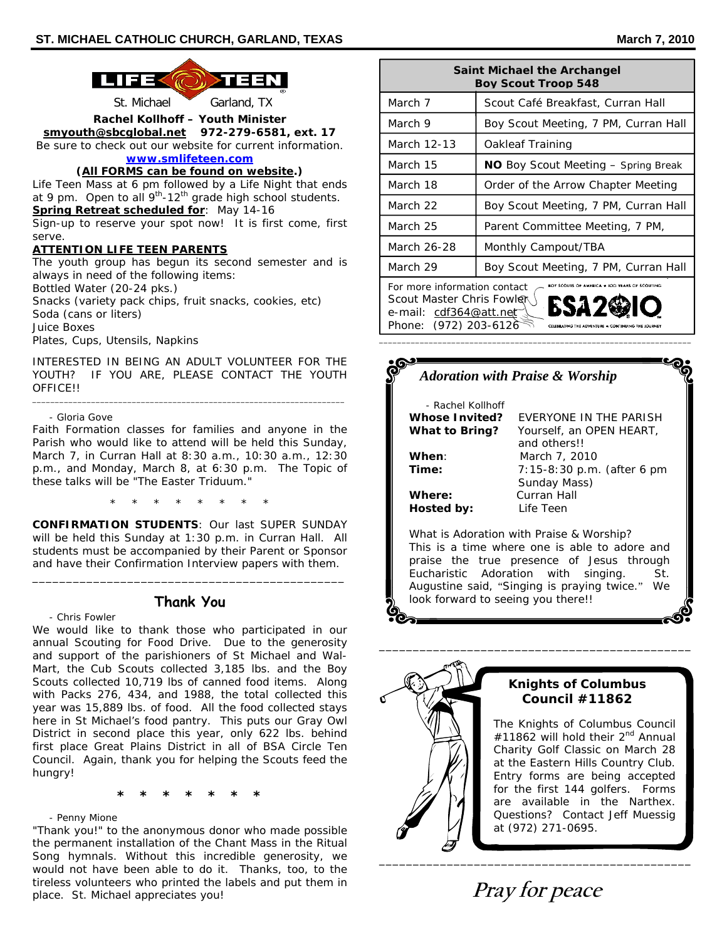

St. Michael Garland, TX

**Rachel Kollhoff – Youth Minister** 

**smyouth@sbcglobal.net 972-279-6581, ext. 17**  Be sure to check out our website for current information.

# **www.smlifeteen.com**

# **(All FORMS can be found on website.)**

Life Teen Mass at 6 pm followed by a Life Night that ends at 9 pm. Open to all  $9<sup>th</sup>$ -12<sup>th</sup> grade high school students. **Spring Retreat scheduled for**: May 14-16

Sign-up to reserve your spot now! It is first come, first serve.

# **ATTENTION LIFE TEEN PARENTS**

The youth group has begun its second semester and is always in need of the following items: Bottled Water (20-24 pks.) Snacks (variety pack chips, fruit snacks, cookies, etc) Soda (cans or liters) Juice Boxes

Plates, Cups, Utensils, Napkins

*INTERESTED IN BEING AN ADULT VOLUNTEER FOR THE YOUTH? IF YOU ARE, PLEASE CONTACT THE YOUTH OFFICE!! \_\_\_\_\_\_\_\_\_\_\_\_\_\_\_\_\_\_\_\_\_\_\_\_\_\_\_\_\_\_\_\_\_\_\_\_\_\_\_\_\_\_\_\_\_\_\_\_\_\_\_\_\_\_\_\_\_\_\_\_\_\_\_\_\_\_\_\_\_* 

## *- Gloria Gove*

Faith Formation classes for families and anyone in the Parish who would like to attend will be held this Sunday, March 7, in Curran Hall at 8:30 a.m., 10:30 a.m., 12:30 p.m., and Monday, March 8, at 6:30 p.m. The Topic of these talks will be "The Easter Triduum."

\* \* \* \* \* \* \* \*

**CONFIRMATION STUDENTS**: Our last SUPER SUNDAY will be held this Sunday at 1:30 p.m. in Curran Hall. All students must be accompanied by their Parent or Sponsor and have their Confirmation Interview papers with them.

# **Thank You**

\_\_\_\_\_\_\_\_\_\_\_\_\_\_\_\_\_\_\_\_\_\_\_\_\_\_\_\_\_\_\_\_\_\_\_\_\_\_\_\_\_\_\_\_\_\_

 *- Chris Fowler* 

We would like to thank those who participated in our annual Scouting for Food Drive. Due to the generosity and support of the parishioners of St Michael and Wal-Mart, the Cub Scouts collected 3,185 lbs. and the Boy Scouts collected 10,719 lbs of canned food items. Along with Packs 276, 434, and 1988, the total collected this year was 15,889 lbs. of food. All the food collected stays here in St Michael's food pantry. This puts our Gray Owl District in second place this year, only 622 lbs. behind first place Great Plains District in all of BSA Circle Ten Council. Again, thank you for helping the Scouts feed the hungry!

**\* \* \* \* \* \* \*** 

#### *- Penny Mione*

"Thank you!" to the anonymous donor who made possible the permanent installation of the Chant Mass in the Ritual Song hymnals. Without this incredible generosity, we would not have been able to do it. Thanks, too, to the tireless volunteers who printed the labels and put them in place. St. Michael appreciates you!

| <b>Saint Michael the Archangel</b><br><b>Boy Scout Troop 548</b>                                                                                                                                                                    |                                            |  |  |
|-------------------------------------------------------------------------------------------------------------------------------------------------------------------------------------------------------------------------------------|--------------------------------------------|--|--|
| March 7                                                                                                                                                                                                                             | Scout Café Breakfast, Curran Hall          |  |  |
| March 9                                                                                                                                                                                                                             | Boy Scout Meeting, 7 PM, Curran Hall       |  |  |
| March 12-13                                                                                                                                                                                                                         | Oakleaf Training                           |  |  |
| March 15                                                                                                                                                                                                                            | <b>NO</b> Boy Scout Meeting – Spring Break |  |  |
| March 18                                                                                                                                                                                                                            | Order of the Arrow Chapter Meeting         |  |  |
| March 22                                                                                                                                                                                                                            | Boy Scout Meeting, 7 PM, Curran Hall       |  |  |
| March 25                                                                                                                                                                                                                            | Parent Committee Meeting, 7 PM,            |  |  |
| March 26-28                                                                                                                                                                                                                         | Monthly Campout/TBA                        |  |  |
| March 29                                                                                                                                                                                                                            | Boy Scout Meeting, 7 PM, Curran Hall       |  |  |
| BOY SCOUTS OF AMERICA * IOO YEARS OF SCOUTING<br>For more information contact<br>Scout Master Chris Fowler<br><b>ESA2@</b><br>e-mail: cdf364@att.nef<br>Phone: (972) 203-6126<br>CELEBRATING THE ADVENTURE * CONTINUING THE JOURNEY |                                            |  |  |

\_\_\_\_\_\_\_\_\_\_\_\_\_\_\_\_\_\_\_\_\_\_\_\_\_\_\_\_\_\_\_\_\_\_\_\_\_\_\_\_\_\_\_\_\_\_\_\_\_\_\_\_\_\_\_\_\_\_\_\_\_\_\_\_\_\_\_\_\_

| - Rachel Kollhoff                  |                                                                                                                                                                                                                                        |
|------------------------------------|----------------------------------------------------------------------------------------------------------------------------------------------------------------------------------------------------------------------------------------|
| <i><b>Whose Invited?</b></i>       | EVERYONE IN THE PARISH                                                                                                                                                                                                                 |
| <b>What to Bring?</b>              | Yourself, an OPEN HEART,                                                                                                                                                                                                               |
|                                    | and others!!                                                                                                                                                                                                                           |
| <b>When:</b>                       | March 7, 2010                                                                                                                                                                                                                          |
| Time:                              | 7:15-8:30 p.m. (after 6 pm                                                                                                                                                                                                             |
|                                    | Sunday Mass)                                                                                                                                                                                                                           |
| Where:                             | Curran Hall                                                                                                                                                                                                                            |
| Hosted by:                         | Life Teen                                                                                                                                                                                                                              |
| look forward to seeing you there!! | What is Adoration with Praise & Worship?<br>This is a time where one is able to adore and<br>praise the true presence of Jesus through<br>Eucharistic Adoration with singing.<br>St.<br>Augustine said, "Singing is praying twice." We |



**Pray for peace**